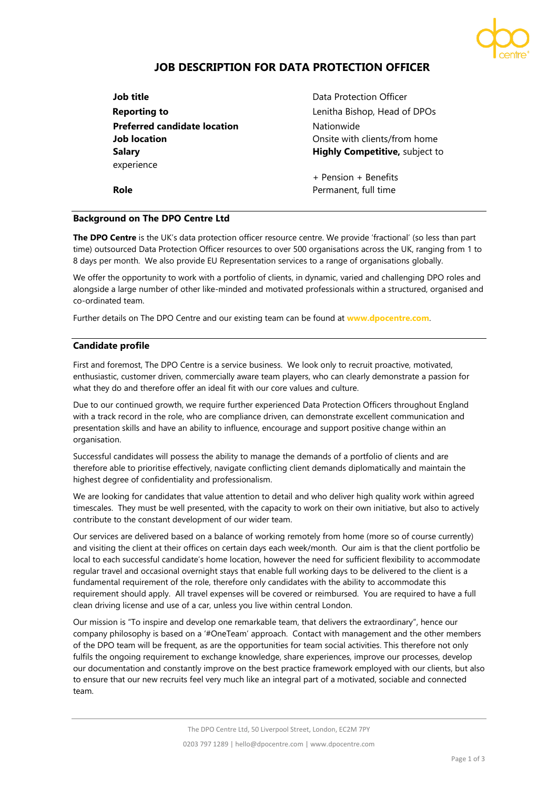

# **JOB DESCRIPTION FOR DATA PROTECTION OFFICER**

**Job title Data Protection Officer Reporting to** Lenitha Bishop, Head of DPOs **Preferred candidate location** Nationwide **Job location CONSIDER CONSIDER CONSIDER CONSIDER** Onsite with clients/from home **Salary Highly Competitive,** subject to experience

+ Pension + Benefits **Role Role Role Permanent**, full time

## **Background on The DPO Centre Ltd**

**The DPO Centre** is the UK's data protection officer resource centre. We provide 'fractional' (so less than part time) outsourced Data Protection Officer resources to over 500 organisations across the UK, ranging from 1 to 8 days per month. We also provide EU Representation services to a range of organisations globally.

We offer the opportunity to work with a portfolio of clients, in dynamic, varied and challenging DPO roles and alongside a large number of other like-minded and motivated professionals within a structured, organised and co-ordinated team.

Further details on The DPO Centre and our existing team can be found at **[www.dpocentre.com](http://www.dpocentre.com/)**.

#### **Candidate profile**

First and foremost, The DPO Centre is a service business. We look only to recruit proactive, motivated, enthusiastic, customer driven, commercially aware team players, who can clearly demonstrate a passion for what they do and therefore offer an ideal fit with our core values and culture.

Due to our continued growth, we require further experienced Data Protection Officers throughout England with a track record in the role, who are compliance driven, can demonstrate excellent communication and presentation skills and have an ability to influence, encourage and support positive change within an organisation.

Successful candidates will possess the ability to manage the demands of a portfolio of clients and are therefore able to prioritise effectively, navigate conflicting client demands diplomatically and maintain the highest degree of confidentiality and professionalism.

We are looking for candidates that value attention to detail and who deliver high quality work within agreed timescales. They must be well presented, with the capacity to work on their own initiative, but also to actively contribute to the constant development of our wider team.

Our services are delivered based on a balance of working remotely from home (more so of course currently) and visiting the client at their offices on certain days each week/month. Our aim is that the client portfolio be local to each successful candidate's home location, however the need for sufficient flexibility to accommodate regular travel and occasional overnight stays that enable full working days to be delivered to the client is a fundamental requirement of the role, therefore only candidates with the ability to accommodate this requirement should apply. All travel expenses will be covered or reimbursed. You are required to have a full clean driving license and use of a car, unless you live within central London.

Our mission is "To inspire and develop one remarkable team, that delivers the extraordinary", hence our company philosophy is based on a '#OneTeam' approach. Contact with management and the other members of the DPO team will be frequent, as are the opportunities for team social activities. This therefore not only fulfils the ongoing requirement to exchange knowledge, share experiences, improve our processes, develop our documentation and constantly improve on the best practice framework employed with our clients, but also to ensure that our new recruits feel very much like an integral part of a motivated, sociable and connected team.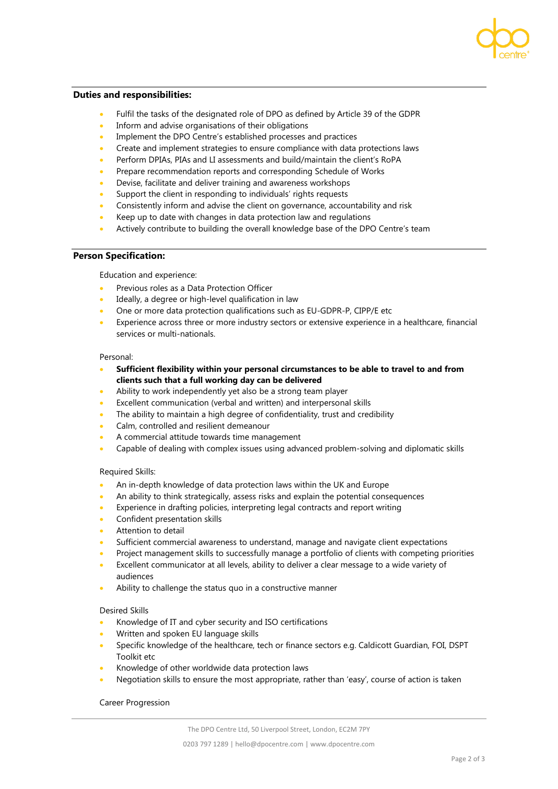

## **Duties and responsibilities:**

- Fulfil the tasks of the designated role of DPO as defined by Article 39 of the GDPR
- Inform and advise organisations of their obligations
- Implement the DPO Centre's established processes and practices
- Create and implement strategies to ensure compliance with data protections laws
- Perform DPIAs, PIAs and LI assessments and build/maintain the client's RoPA
- Prepare recommendation reports and corresponding Schedule of Works
- Devise, facilitate and deliver training and awareness workshops
- Support the client in responding to individuals' rights requests
- Consistently inform and advise the client on governance, accountability and risk
- Keep up to date with changes in data protection law and regulations
- Actively contribute to building the overall knowledge base of the DPO Centre's team

#### **Person Specification:**

Education and experience:

- Previous roles as a Data Protection Officer
- Ideally, a degree or high-level qualification in law
- One or more data protection qualifications such as EU-GDPR-P, CIPP/E etc
- Experience across three or more industry sectors or extensive experience in a healthcare, financial services or multi-nationals.

#### Personal:

- **Sufficient flexibility within your personal circumstances to be able to travel to and from clients such that a full working day can be delivered**
- Ability to work independently yet also be a strong team player
- Excellent communication (verbal and written) and interpersonal skills
- The ability to maintain a high degree of confidentiality, trust and credibility
- Calm, controlled and resilient demeanour
- A commercial attitude towards time management
- Capable of dealing with complex issues using advanced problem-solving and diplomatic skills

#### Required Skills:

- An in-depth knowledge of data protection laws within the UK and Europe
- An ability to think strategically, assess risks and explain the potential consequences
- Experience in drafting policies, interpreting legal contracts and report writing
- Confident presentation skills
- Attention to detail
- Sufficient commercial awareness to understand, manage and navigate client expectations
- Project management skills to successfully manage a portfolio of clients with competing priorities
- Excellent communicator at all levels, ability to deliver a clear message to a wide variety of audiences
- Ability to challenge the status quo in a constructive manner

#### Desired Skills

- Knowledge of IT and cyber security and ISO certifications
- Written and spoken EU language skills
- Specific knowledge of the healthcare, tech or finance sectors e.g. Caldicott Guardian, FOI, DSPT Toolkit etc
- Knowledge of other worldwide data protection laws
- Negotiation skills to ensure the most appropriate, rather than 'easy', course of action is taken

## Career Progression